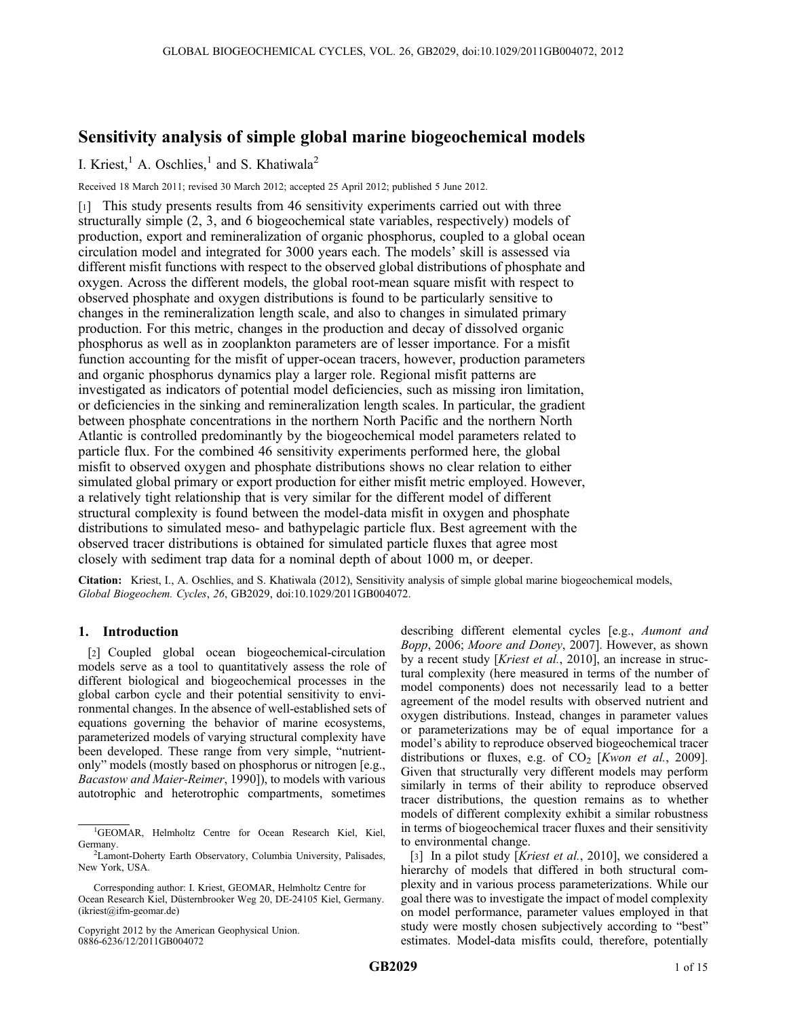# Sensitivity analysis of simple global marine biogeochemical models

# I. Kriest,<sup>1</sup> A. Oschlies,<sup>1</sup> and S. Khatiwala<sup>2</sup>

Received 18 March 2011; revised 30 March 2012; accepted 25 April 2012; published 5 June 2012.

[1] This study presents results from 46 sensitivity experiments carried out with three structurally simple (2, 3, and 6 biogeochemical state variables, respectively) models of production, export and remineralization of organic phosphorus, coupled to a global ocean circulation model and integrated for 3000 years each. The models' skill is assessed via different misfit functions with respect to the observed global distributions of phosphate and oxygen. Across the different models, the global root-mean square misfit with respect to observed phosphate and oxygen distributions is found to be particularly sensitive to changes in the remineralization length scale, and also to changes in simulated primary production. For this metric, changes in the production and decay of dissolved organic phosphorus as well as in zooplankton parameters are of lesser importance. For a misfit function accounting for the misfit of upper-ocean tracers, however, production parameters and organic phosphorus dynamics play a larger role. Regional misfit patterns are investigated as indicators of potential model deficiencies, such as missing iron limitation, or deficiencies in the sinking and remineralization length scales. In particular, the gradient between phosphate concentrations in the northern North Pacific and the northern North Atlantic is controlled predominantly by the biogeochemical model parameters related to particle flux. For the combined 46 sensitivity experiments performed here, the global misfit to observed oxygen and phosphate distributions shows no clear relation to either simulated global primary or export production for either misfit metric employed. However, a relatively tight relationship that is very similar for the different model of different structural complexity is found between the model-data misfit in oxygen and phosphate distributions to simulated meso- and bathypelagic particle flux. Best agreement with the observed tracer distributions is obtained for simulated particle fluxes that agree most closely with sediment trap data for a nominal depth of about 1000 m, or deeper.

Citation: Kriest, I., A. Oschlies, and S. Khatiwala (2012), Sensitivity analysis of simple global marine biogeochemical models, Global Biogeochem. Cycles, 26, GB2029, doi:10.1029/2011GB004072.

# 1. Introduction

[2] Coupled global ocean biogeochemical-circulation models serve as a tool to quantitatively assess the role of different biological and biogeochemical processes in the global carbon cycle and their potential sensitivity to environmental changes. In the absence of well-established sets of equations governing the behavior of marine ecosystems, parameterized models of varying structural complexity have been developed. These range from very simple, "nutrientonly" models (mostly based on phosphorus or nitrogen [e.g., Bacastow and Maier-Reimer, 1990]), to models with various autotrophic and heterotrophic compartments, sometimes

Copyright 2012 by the American Geophysical Union. 0886-6236/12/2011GB004072

describing different elemental cycles [e.g., Aumont and Bopp, 2006; Moore and Doney, 2007]. However, as shown by a recent study [Kriest et al., 2010], an increase in structural complexity (here measured in terms of the number of model components) does not necessarily lead to a better agreement of the model results with observed nutrient and oxygen distributions. Instead, changes in parameter values or parameterizations may be of equal importance for a model's ability to reproduce observed biogeochemical tracer distributions or fluxes, e.g. of  $CO<sub>2</sub>$  [Kwon et al., 2009]. Given that structurally very different models may perform similarly in terms of their ability to reproduce observed tracer distributions, the question remains as to whether models of different complexity exhibit a similar robustness in terms of biogeochemical tracer fluxes and their sensitivity to environmental change.

[3] In a pilot study [*Kriest et al.*, 2010], we considered a hierarchy of models that differed in both structural complexity and in various process parameterizations. While our goal there was to investigate the impact of model complexity on model performance, parameter values employed in that study were mostly chosen subjectively according to "best" estimates. Model-data misfits could, therefore, potentially

<sup>1</sup> GEOMAR, Helmholtz Centre for Ocean Research Kiel, Kiel, Germany.

<sup>&</sup>lt;sup>2</sup> Lamont-Doherty Earth Observatory, Columbia University, Palisades, New York, USA.

Corresponding author: I. Kriest, GEOMAR, Helmholtz Centre for Ocean Research Kiel, Düsternbrooker Weg 20, DE-24105 Kiel, Germany. (ikriest@ifm-geomar.de)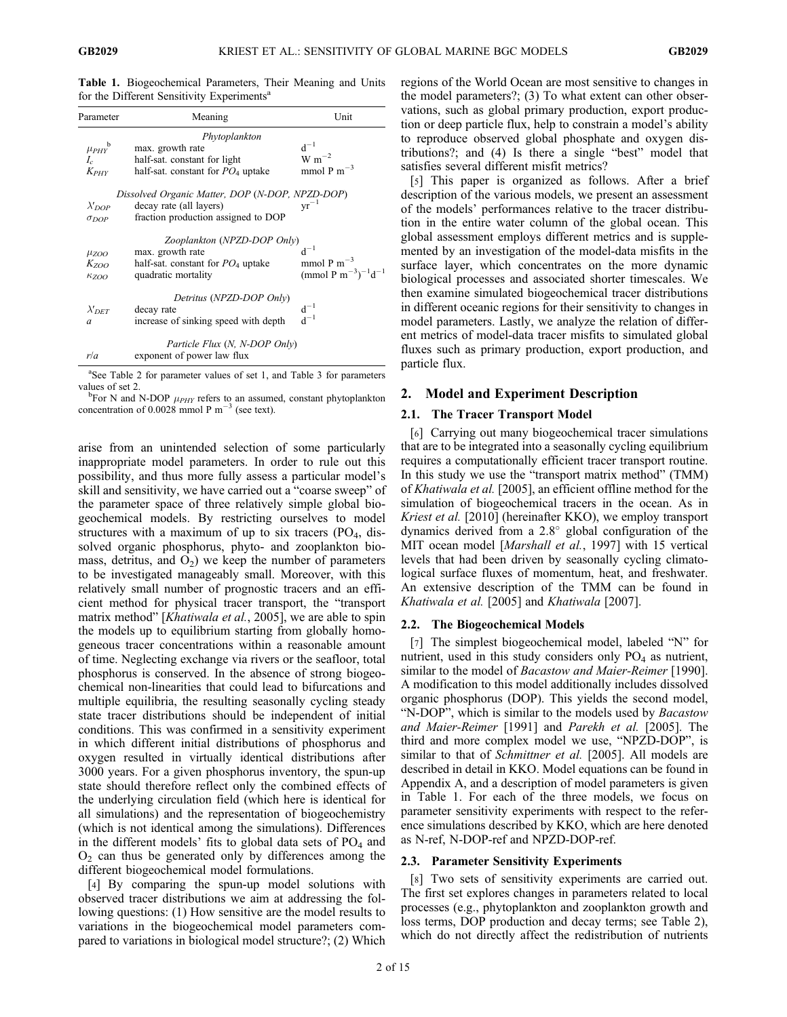Table 1. Biogeochemical Parameters, Their Meaning and Units for the Different Sensitivity Experiments<sup>a</sup>

| Parameter              | Meaning                                         | Unit                                                    |  |  |  |  |
|------------------------|-------------------------------------------------|---------------------------------------------------------|--|--|--|--|
|                        | Phytoplankton                                   |                                                         |  |  |  |  |
| $\mu_{PHY}^{\qquad b}$ | max. growth rate                                | $d^{-1}$                                                |  |  |  |  |
| $I_c$                  | half-sat. constant for light                    | $W m^{-2}$                                              |  |  |  |  |
| $K_{PHY}$              | half-sat. constant for $PO4$ uptake             | mmol $P m^{-3}$                                         |  |  |  |  |
|                        | Dissolved Organic Matter, DOP (N-DOP, NPZD-DOP) |                                                         |  |  |  |  |
| $\lambda'_{DOP}$       | decay rate (all layers)                         | $yr^{-1}$                                               |  |  |  |  |
| $\sigma_{DOP}$         | fraction production assigned to DOP             |                                                         |  |  |  |  |
|                        | Zooplankton (NPZD-DOP Only)                     |                                                         |  |  |  |  |
| $\mu_{ZOO}$            | max. growth rate                                | $d^{-1}$                                                |  |  |  |  |
| $K_{ZOO}$              | half-sat. constant for $PO4$ uptake             | mmol P m <sup><math>-3</math></sup>                     |  |  |  |  |
| <b>Kzoo</b>            | quadratic mortality                             | (mmol P m <sup>-3</sup> ) <sup>-1</sup> d <sup>-1</sup> |  |  |  |  |
|                        | Detritus (NPZD-DOP Only)                        |                                                         |  |  |  |  |
| $\lambda'_{DET}$       | decay rate                                      | $d^{-1}$                                                |  |  |  |  |
| $\alpha$               | increase of sinking speed with depth            | $d^{-1}$                                                |  |  |  |  |
|                        | Particle Flux (N, N-DOP Only)                   |                                                         |  |  |  |  |
| r/a                    | exponent of power law flux                      |                                                         |  |  |  |  |
|                        |                                                 |                                                         |  |  |  |  |

<sup>a</sup>See Table 2 for parameter values of set 1, and Table 3 for parameters values of set 2.

<sup>b</sup>For N and N-DOP  $\mu_{PHY}$  refers to an assumed, constant phytoplankton concentration of 0.0028 mmol P  $m^{-3}$  (see text).

arise from an unintended selection of some particularly inappropriate model parameters. In order to rule out this possibility, and thus more fully assess a particular model's skill and sensitivity, we have carried out a "coarse sweep" of the parameter space of three relatively simple global biogeochemical models. By restricting ourselves to model structures with a maximum of up to six tracers  $(PO<sub>4</sub>,$  dissolved organic phosphorus, phyto- and zooplankton biomass, detritus, and  $O_2$ ) we keep the number of parameters to be investigated manageably small. Moreover, with this relatively small number of prognostic tracers and an efficient method for physical tracer transport, the "transport matrix method" [Khatiwala et al., 2005], we are able to spin the models up to equilibrium starting from globally homogeneous tracer concentrations within a reasonable amount of time. Neglecting exchange via rivers or the seafloor, total phosphorus is conserved. In the absence of strong biogeochemical non-linearities that could lead to bifurcations and multiple equilibria, the resulting seasonally cycling steady state tracer distributions should be independent of initial conditions. This was confirmed in a sensitivity experiment in which different initial distributions of phosphorus and oxygen resulted in virtually identical distributions after 3000 years. For a given phosphorus inventory, the spun-up state should therefore reflect only the combined effects of the underlying circulation field (which here is identical for all simulations) and the representation of biogeochemistry (which is not identical among the simulations). Differences in the different models' fits to global data sets of  $PO<sub>4</sub>$  and  $O<sub>2</sub>$  can thus be generated only by differences among the different biogeochemical model formulations.

[4] By comparing the spun-up model solutions with observed tracer distributions we aim at addressing the following questions: (1) How sensitive are the model results to variations in the biogeochemical model parameters compared to variations in biological model structure?; (2) Which regions of the World Ocean are most sensitive to changes in the model parameters?; (3) To what extent can other observations, such as global primary production, export production or deep particle flux, help to constrain a model's ability to reproduce observed global phosphate and oxygen distributions?; and (4) Is there a single "best" model that satisfies several different misfit metrics?

[5] This paper is organized as follows. After a brief description of the various models, we present an assessment of the models' performances relative to the tracer distribution in the entire water column of the global ocean. This global assessment employs different metrics and is supplemented by an investigation of the model-data misfits in the surface layer, which concentrates on the more dynamic biological processes and associated shorter timescales. We then examine simulated biogeochemical tracer distributions in different oceanic regions for their sensitivity to changes in model parameters. Lastly, we analyze the relation of different metrics of model-data tracer misfits to simulated global fluxes such as primary production, export production, and particle flux.

### 2. Model and Experiment Description

#### 2.1. The Tracer Transport Model

[6] Carrying out many biogeochemical tracer simulations that are to be integrated into a seasonally cycling equilibrium requires a computationally efficient tracer transport routine. In this study we use the "transport matrix method" (TMM) of Khatiwala et al. [2005], an efficient offline method for the simulation of biogeochemical tracers in the ocean. As in Kriest et al. [2010] (hereinafter KKO), we employ transport dynamics derived from a  $2.8^{\circ}$  global configuration of the MIT ocean model [*Marshall et al.*, 1997] with 15 vertical levels that had been driven by seasonally cycling climatological surface fluxes of momentum, heat, and freshwater. An extensive description of the TMM can be found in Khatiwala et al. [2005] and Khatiwala [2007].

#### 2.2. The Biogeochemical Models

[7] The simplest biogeochemical model, labeled "N" for nutrient, used in this study considers only  $PO<sub>4</sub>$  as nutrient, similar to the model of *Bacastow and Maier-Reimer* [1990]. A modification to this model additionally includes dissolved organic phosphorus (DOP). This yields the second model, "N-DOP", which is similar to the models used by *Bacastow* and Maier-Reimer [1991] and Parekh et al. [2005]. The third and more complex model we use, "NPZD-DOP", is similar to that of *Schmittner et al.* [2005]. All models are described in detail in KKO. Model equations can be found in Appendix A, and a description of model parameters is given in Table 1. For each of the three models, we focus on parameter sensitivity experiments with respect to the reference simulations described by KKO, which are here denoted as N-ref, N-DOP-ref and NPZD-DOP-ref.

#### 2.3. Parameter Sensitivity Experiments

[8] Two sets of sensitivity experiments are carried out. The first set explores changes in parameters related to local processes (e.g., phytoplankton and zooplankton growth and loss terms, DOP production and decay terms; see Table 2), which do not directly affect the redistribution of nutrients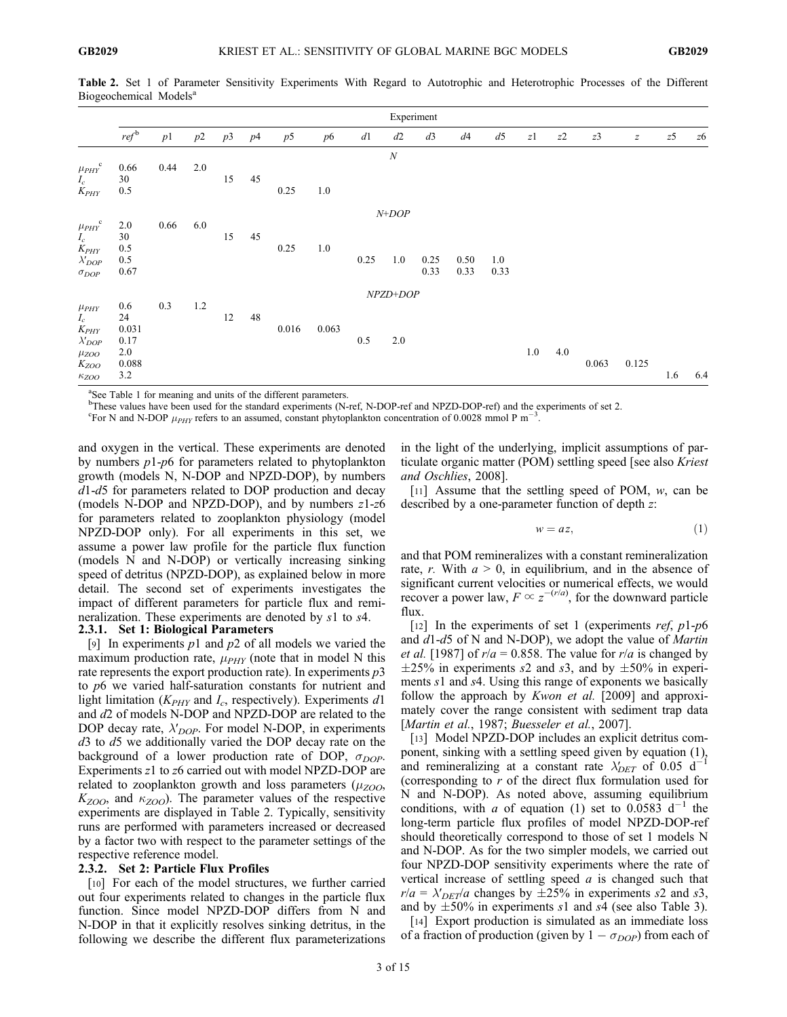|                                                                                                   | Experiment                                        |      |        |    |    |       |       |      |                 |              |              |             |     |     |       |                  |     |     |
|---------------------------------------------------------------------------------------------------|---------------------------------------------------|------|--------|----|----|-------|-------|------|-----------------|--------------|--------------|-------------|-----|-----|-------|------------------|-----|-----|
|                                                                                                   | $\mathit{ref}^{\rm b}$                            | p1   | $p2\,$ | p3 | p4 | p5    | p6    | d1   | d2              | d3           | d4           | d5          | z1  | z2  | z3    | $\boldsymbol{z}$ | z5  | z6  |
| $\mu_{PHY}^{\phantom{P}c}$<br>$I_c$<br>$K_{PHY}$                                                  | 0.66<br>30<br>0.5                                 | 0.44 | 2.0    | 15 | 45 | 0.25  | 1.0   |      | $\cal N$        |              |              |             |     |     |       |                  |     |     |
| $\mu_{PHY}^{\phantom{P}c}$<br>$I_c$<br>$K_{PHY}$<br>$\lambda_{DOP}'$<br>$\sigma_{DOP}$            | 2.0<br>30<br>0.5<br>0.5<br>0.67                   | 0.66 | 6.0    | 15 | 45 | 0.25  | 1.0   | 0.25 | $N+DOP$<br>1.0  | 0.25<br>0.33 | 0.50<br>0.33 | 1.0<br>0.33 |     |     |       |                  |     |     |
| $\mu$ PHY<br>$I_c$<br>$K_{PHY}$<br>$\lambda_{DOP}'$<br>$\mu_{ZOO}$<br>$K_{ZOO}$<br>$\kappa_{ZOO}$ | 0.6<br>24<br>0.031<br>0.17<br>2.0<br>0.088<br>3.2 | 0.3  | 1.2    | 12 | 48 | 0.016 | 0.063 | 0.5  | NPZD+DOP<br>2.0 |              |              |             | 1.0 | 4.0 | 0.063 | 0.125            | 1.6 | 6.4 |

Table 2. Set 1 of Parameter Sensitivity Experiments With Regard to Autotrophic and Heterotrophic Processes of the Different Biogeochemical Models<sup>a</sup>

<sup>a</sup>See Table 1 for meaning and units of the different parameters.

b These values have been used for the standard experiments (N-ref, N-DOP-ref and NPZD-DOP-ref) and the experiments of set 2.

<sup>c</sup>For N and N-DOP  $\mu_{PHY}$  refers to an assumed, constant phytoplankton concentration of 0.0028 mmol P m<sup>-3</sup> .

and oxygen in the vertical. These experiments are denoted by numbers  $p1-p6$  for parameters related to phytoplankton growth (models N, N-DOP and NPZD-DOP), by numbers d1-d5 for parameters related to DOP production and decay (models N-DOP and NPZD-DOP), and by numbers z1-z6 for parameters related to zooplankton physiology (model NPZD-DOP only). For all experiments in this set, we assume a power law profile for the particle flux function (models N and N-DOP) or vertically increasing sinking speed of detritus (NPZD-DOP), as explained below in more detail. The second set of experiments investigates the impact of different parameters for particle flux and remineralization. These experiments are denoted by s1 to s4.

## 2.3.1. Set 1: Biological Parameters

[9] In experiments  $p1$  and  $p2$  of all models we varied the maximum production rate,  $\mu_{PHY}$  (note that in model N this rate represents the export production rate). In experiments  $p3$ to p6 we varied half-saturation constants for nutrient and light limitation ( $K_{PHY}$  and  $I_c$ , respectively). Experiments d1 and d2 of models N-DOP and NPZD-DOP are related to the DOP decay rate,  $\lambda'_{DOP}$ . For model N-DOP, in experiments  $d3$  to  $d5$  we additionally varied the DOP decay rate on the background of a lower production rate of DOP,  $\sigma_{DOP}$ . Experiments z1 to z6 carried out with model NPZD-DOP are related to zooplankton growth and loss parameters ( $\mu_{ZOO}$ ,  $K_{ZOO}$ , and  $\kappa_{ZOO}$ ). The parameter values of the respective experiments are displayed in Table 2. Typically, sensitivity runs are performed with parameters increased or decreased by a factor two with respect to the parameter settings of the respective reference model.

## 2.3.2. Set 2: Particle Flux Profiles

[10] For each of the model structures, we further carried out four experiments related to changes in the particle flux function. Since model NPZD-DOP differs from N and N-DOP in that it explicitly resolves sinking detritus, in the following we describe the different flux parameterizations in the light of the underlying, implicit assumptions of particulate organic matter (POM) settling speed [see also Kriest and Oschlies, 2008].

[11] Assume that the settling speed of POM,  $w$ , can be described by a one-parameter function of depth z:

$$
w = az,\tag{1}
$$

and that POM remineralizes with a constant remineralization rate, r. With  $a > 0$ , in equilibrium, and in the absence of significant current velocities or numerical effects, we would recover a power law,  $F \propto z^{-(r/a)}$ , for the downward particle flux.

[12] In the experiments of set 1 (experiments *ref, p1-p6* and  $d1-d5$  of N and N-DOP), we adopt the value of *Martin et al.* [1987] of  $r/a = 0.858$ . The value for  $r/a$  is changed by  $\pm 25\%$  in experiments s2 and s3, and by  $\pm 50\%$  in experiments s1 and s4. Using this range of exponents we basically follow the approach by *Kwon et al.* [2009] and approximately cover the range consistent with sediment trap data [Martin et al., 1987; Buesseler et al., 2007].

[13] Model NPZD-DOP includes an explicit detritus component, sinking with a settling speed given by equation (1), and remineralizing at a constant rate  $\lambda'_{DET}$  of 0.05 d<sup>-1</sup> (corresponding to  $r$  of the direct flux formulation used for N and N-DOP). As noted above, assuming equilibrium conditions, with a of equation (1) set to 0.0583  $d^{-1}$  the long-term particle flux profiles of model NPZD-DOP-ref should theoretically correspond to those of set 1 models N and N-DOP. As for the two simpler models, we carried out four NPZD-DOP sensitivity experiments where the rate of vertical increase of settling speed  $a$  is changed such that  $r/a = \lambda'_{DET}/a$  changes by  $\pm 25\%$  in experiments s2 and s3, and by  $\pm 50\%$  in experiments s1 and s4 (see also Table 3).

[14] Export production is simulated as an immediate loss of a fraction of production (given by  $1 - \sigma_{DOP}$ ) from each of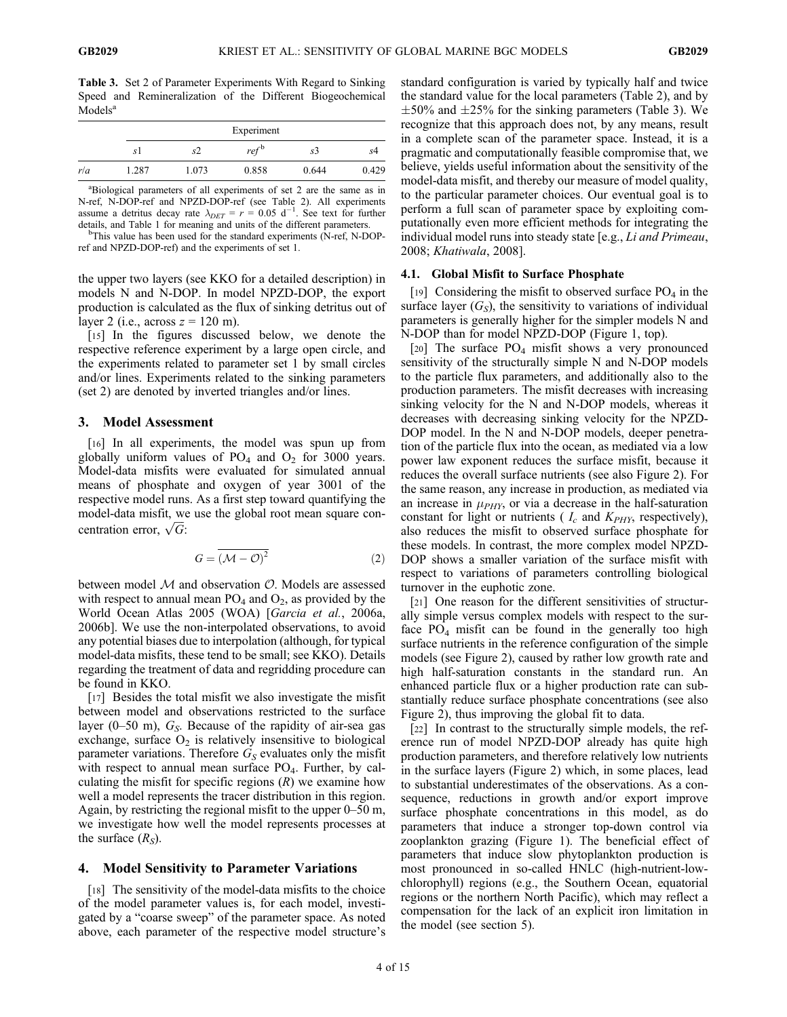Table 3. Set 2 of Parameter Experiments With Regard to Sinking Speed and Remineralization of the Different Biogeochemical Models<sup>a</sup>

|     |      | Experiment |                  |       |       |  |  |  |  |
|-----|------|------------|------------------|-------|-------|--|--|--|--|
|     | s l  | s2         | ref <sup>b</sup> | S3    | s4    |  |  |  |  |
| r/a | .287 | 1.073      | 0.858            | 0.644 | 0.429 |  |  |  |  |

a Biological parameters of all experiments of set 2 are the same as in N-ref, N-DOP-ref and NPZD-DOP-ref (see Table 2). All experiments assume a detritus decay rate  $\lambda_{DET} = r = 0.05 \text{ d}^{-1}$ . See text for further details, and Table 1 for meaning and units of the different parameters. <sup>b</sup> This value has been used for the standard experiments (N-ref, N-DOP-

ref and NPZD-DOP-ref) and the experiments of set 1.

the upper two layers (see KKO for a detailed description) in models N and N-DOP. In model NPZD-DOP, the export production is calculated as the flux of sinking detritus out of layer 2 (i.e., across  $z = 120$  m).

[15] In the figures discussed below, we denote the respective reference experiment by a large open circle, and the experiments related to parameter set 1 by small circles and/or lines. Experiments related to the sinking parameters (set 2) are denoted by inverted triangles and/or lines.

### 3. Model Assessment

[16] In all experiments, the model was spun up from globally uniform values of  $PO_4$  and  $O_2$  for 3000 years. Model-data misfits were evaluated for simulated annual means of phosphate and oxygen of year 3001 of the respective model runs. As a first step toward quantifying the model-data misfit, we use the global root mean square concentration error,  $\sqrt{G}$ :

$$
G = \overline{(M - \mathcal{O})^2} \tag{2}
$$

between model  $M$  and observation  $O$ . Models are assessed with respect to annual mean  $PO_4$  and  $O_2$ , as provided by the World Ocean Atlas 2005 (WOA) [Garcia et al., 2006a, 2006b]. We use the non-interpolated observations, to avoid any potential biases due to interpolation (although, for typical model-data misfits, these tend to be small; see KKO). Details regarding the treatment of data and regridding procedure can be found in KKO.

[17] Besides the total misfit we also investigate the misfit between model and observations restricted to the surface layer (0–50 m),  $G_S$ . Because of the rapidity of air-sea gas exchange, surface  $O_2$  is relatively insensitive to biological parameter variations. Therefore  $G<sub>S</sub>$  evaluates only the misfit with respect to annual mean surface  $PO<sub>4</sub>$ . Further, by calculating the misfit for specific regions  $(R)$  we examine how well a model represents the tracer distribution in this region. Again, by restricting the regional misfit to the upper 0–50 m, we investigate how well the model represents processes at the surface  $(R<sub>S</sub>)$ .

### 4. Model Sensitivity to Parameter Variations

[18] The sensitivity of the model-data misfits to the choice of the model parameter values is, for each model, investigated by a "coarse sweep" of the parameter space. As noted above, each parameter of the respective model structure's standard configuration is varied by typically half and twice the standard value for the local parameters (Table 2), and by  $\pm 50\%$  and  $\pm 25\%$  for the sinking parameters (Table 3). We recognize that this approach does not, by any means, result in a complete scan of the parameter space. Instead, it is a pragmatic and computationally feasible compromise that, we believe, yields useful information about the sensitivity of the model-data misfit, and thereby our measure of model quality, to the particular parameter choices. Our eventual goal is to perform a full scan of parameter space by exploiting computationally even more efficient methods for integrating the individual model runs into steady state [e.g., Li and Primeau, 2008; Khatiwala, 2008].

## 4.1. Global Misfit to Surface Phosphate

[19] Considering the misfit to observed surface  $PO_4$  in the surface layer  $(G<sub>S</sub>)$ , the sensitivity to variations of individual parameters is generally higher for the simpler models N and N-DOP than for model NPZD-DOP (Figure 1, top).

[20] The surface  $PO_4$  misfit shows a very pronounced sensitivity of the structurally simple N and N-DOP models to the particle flux parameters, and additionally also to the production parameters. The misfit decreases with increasing sinking velocity for the N and N-DOP models, whereas it decreases with decreasing sinking velocity for the NPZD-DOP model. In the N and N-DOP models, deeper penetration of the particle flux into the ocean, as mediated via a low power law exponent reduces the surface misfit, because it reduces the overall surface nutrients (see also Figure 2). For the same reason, any increase in production, as mediated via an increase in  $\mu_{PHY}$ , or via a decrease in the half-saturation constant for light or nutrients ( $I_c$  and  $K_{PHY}$ , respectively), also reduces the misfit to observed surface phosphate for these models. In contrast, the more complex model NPZD-DOP shows a smaller variation of the surface misfit with respect to variations of parameters controlling biological turnover in the euphotic zone.

[21] One reason for the different sensitivities of structurally simple versus complex models with respect to the surface  $PO_4$  misfit can be found in the generally too high surface nutrients in the reference configuration of the simple models (see Figure 2), caused by rather low growth rate and high half-saturation constants in the standard run. An enhanced particle flux or a higher production rate can substantially reduce surface phosphate concentrations (see also Figure 2), thus improving the global fit to data.

[22] In contrast to the structurally simple models, the reference run of model NPZD-DOP already has quite high production parameters, and therefore relatively low nutrients in the surface layers (Figure 2) which, in some places, lead to substantial underestimates of the observations. As a consequence, reductions in growth and/or export improve surface phosphate concentrations in this model, as do parameters that induce a stronger top-down control via zooplankton grazing (Figure 1). The beneficial effect of parameters that induce slow phytoplankton production is most pronounced in so-called HNLC (high-nutrient-lowchlorophyll) regions (e.g., the Southern Ocean, equatorial regions or the northern North Pacific), which may reflect a compensation for the lack of an explicit iron limitation in the model (see section 5).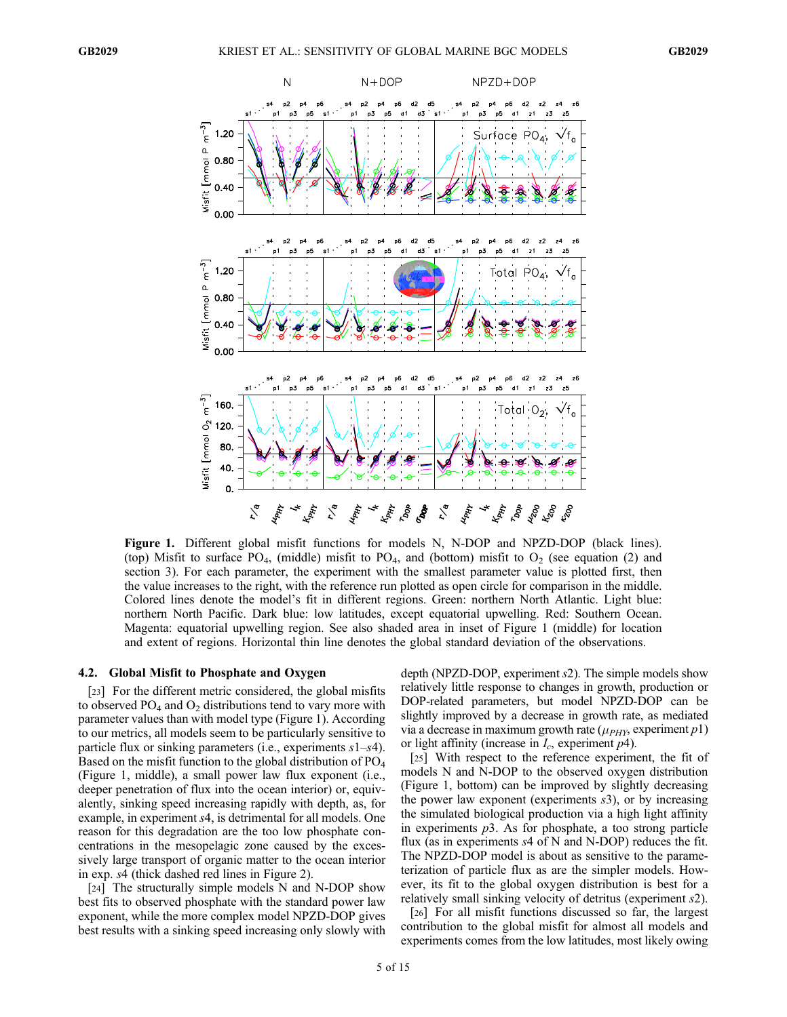

Figure 1. Different global misfit functions for models N, N-DOP and NPZD-DOP (black lines). (top) Misfit to surface PO<sub>4</sub>, (middle) misfit to PO<sub>4</sub>, and (bottom) misfit to  $O_2$  (see equation (2) and section 3). For each parameter, the experiment with the smallest parameter value is plotted first, then the value increases to the right, with the reference run plotted as open circle for comparison in the middle. Colored lines denote the model's fit in different regions. Green: northern North Atlantic. Light blue: northern North Pacific. Dark blue: low latitudes, except equatorial upwelling. Red: Southern Ocean. Magenta: equatorial upwelling region. See also shaded area in inset of Figure 1 (middle) for location and extent of regions. Horizontal thin line denotes the global standard deviation of the observations.

#### 4.2. Global Misfit to Phosphate and Oxygen

[23] For the different metric considered, the global misfits to observed  $PO_4$  and  $O_2$  distributions tend to vary more with parameter values than with model type (Figure 1). According to our metrics, all models seem to be particularly sensitive to particle flux or sinking parameters (i.e., experiments  $s1-s4$ ). Based on the misfit function to the global distribution of  $PO<sub>4</sub>$ (Figure 1, middle), a small power law flux exponent (i.e., deeper penetration of flux into the ocean interior) or, equivalently, sinking speed increasing rapidly with depth, as, for example, in experiment s4, is detrimental for all models. One reason for this degradation are the too low phosphate concentrations in the mesopelagic zone caused by the excessively large transport of organic matter to the ocean interior in exp. s4 (thick dashed red lines in Figure 2).

[24] The structurally simple models N and N-DOP show best fits to observed phosphate with the standard power law exponent, while the more complex model NPZD-DOP gives best results with a sinking speed increasing only slowly with depth (NPZD-DOP, experiment s2). The simple models show relatively little response to changes in growth, production or DOP-related parameters, but model NPZD-DOP can be slightly improved by a decrease in growth rate, as mediated via a decrease in maximum growth rate ( $\mu_{PHY}$ , experiment p1) or light affinity (increase in  $I_c$ , experiment  $p$ 4).

[25] With respect to the reference experiment, the fit of models N and N-DOP to the observed oxygen distribution (Figure 1, bottom) can be improved by slightly decreasing the power law exponent (experiments  $s3$ ), or by increasing the simulated biological production via a high light affinity in experiments  $p3$ . As for phosphate, a too strong particle flux (as in experiments s4 of N and N-DOP) reduces the fit. The NPZD-DOP model is about as sensitive to the parameterization of particle flux as are the simpler models. However, its fit to the global oxygen distribution is best for a relatively small sinking velocity of detritus (experiment s2).

[26] For all misfit functions discussed so far, the largest contribution to the global misfit for almost all models and experiments comes from the low latitudes, most likely owing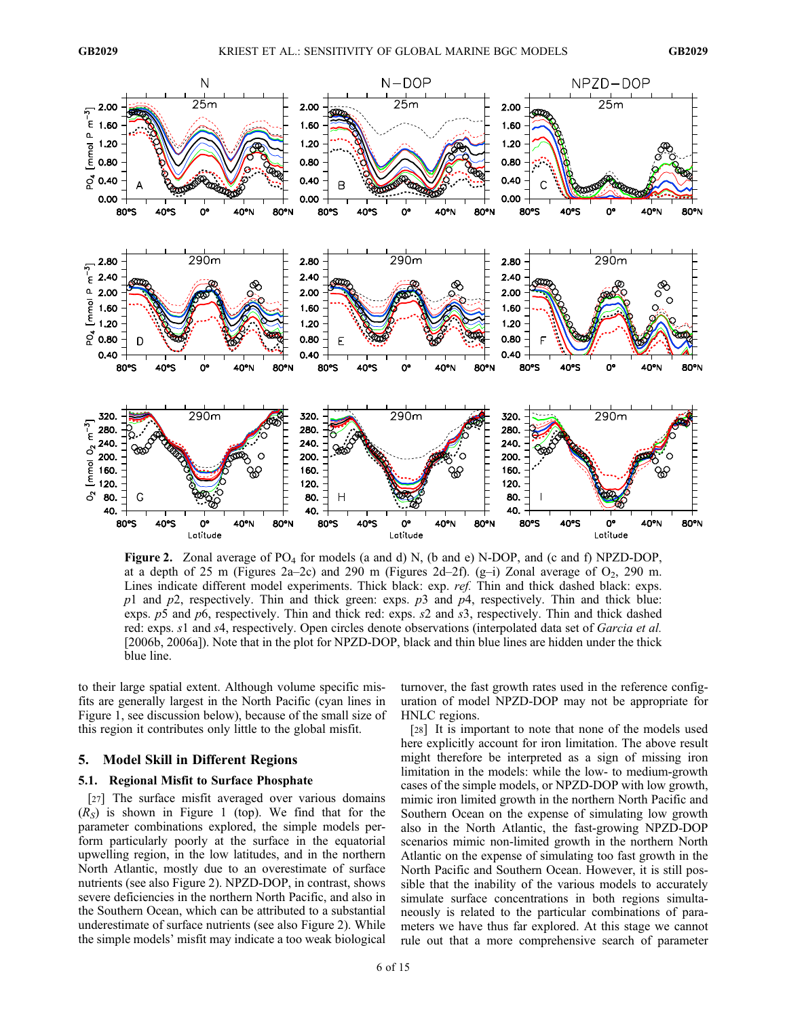

Figure 2. Zonal average of PO<sub>4</sub> for models (a and d) N, (b and e) N-DOP, and (c and f) NPZD-DOP, at a depth of 25 m (Figures 2a–2c) and 290 m (Figures 2d–2f). (g–i) Zonal average of  $O_2$ , 290 m. Lines indicate different model experiments. Thick black: exp. *ref.* Thin and thick dashed black: exps. p1 and p2, respectively. Thin and thick green: exps.  $p3$  and  $p4$ , respectively. Thin and thick blue: exps. p5 and p6, respectively. Thin and thick red: exps. s2 and s3, respectively. Thin and thick dashed red: exps. s1 and s4, respectively. Open circles denote observations (interpolated data set of Garcia et al. [2006b, 2006a]). Note that in the plot for NPZD-DOP, black and thin blue lines are hidden under the thick blue line.

to their large spatial extent. Although volume specific misfits are generally largest in the North Pacific (cyan lines in Figure 1, see discussion below), because of the small size of this region it contributes only little to the global misfit.

## 5. Model Skill in Different Regions

#### 5.1. Regional Misfit to Surface Phosphate

[27] The surface misfit averaged over various domains  $(R<sub>S</sub>)$  is shown in Figure 1 (top). We find that for the parameter combinations explored, the simple models perform particularly poorly at the surface in the equatorial upwelling region, in the low latitudes, and in the northern North Atlantic, mostly due to an overestimate of surface nutrients (see also Figure 2). NPZD-DOP, in contrast, shows severe deficiencies in the northern North Pacific, and also in the Southern Ocean, which can be attributed to a substantial underestimate of surface nutrients (see also Figure 2). While the simple models' misfit may indicate a too weak biological

turnover, the fast growth rates used in the reference configuration of model NPZD-DOP may not be appropriate for HNLC regions.

[28] It is important to note that none of the models used here explicitly account for iron limitation. The above result might therefore be interpreted as a sign of missing iron limitation in the models: while the low- to medium-growth cases of the simple models, or NPZD-DOP with low growth, mimic iron limited growth in the northern North Pacific and Southern Ocean on the expense of simulating low growth also in the North Atlantic, the fast-growing NPZD-DOP scenarios mimic non-limited growth in the northern North Atlantic on the expense of simulating too fast growth in the North Pacific and Southern Ocean. However, it is still possible that the inability of the various models to accurately simulate surface concentrations in both regions simultaneously is related to the particular combinations of parameters we have thus far explored. At this stage we cannot rule out that a more comprehensive search of parameter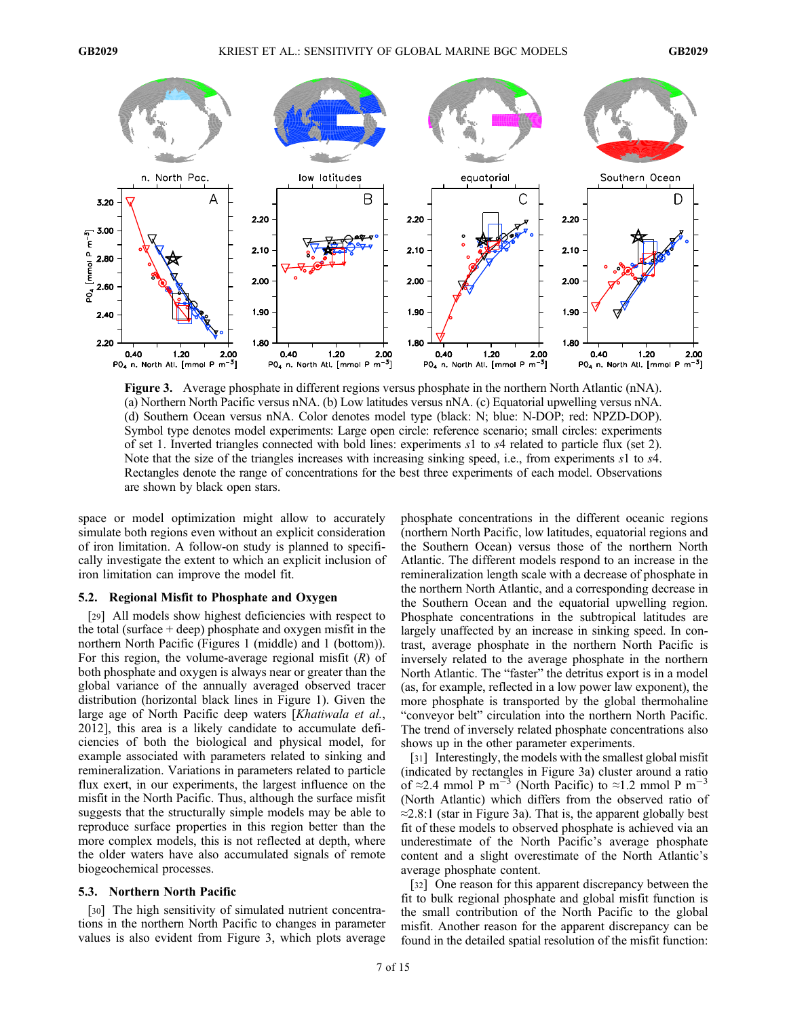

Figure 3. Average phosphate in different regions versus phosphate in the northern North Atlantic (nNA). (a) Northern North Pacific versus nNA. (b) Low latitudes versus nNA. (c) Equatorial upwelling versus nNA. (d) Southern Ocean versus nNA. Color denotes model type (black: N; blue: N-DOP; red: NPZD-DOP). Symbol type denotes model experiments: Large open circle: reference scenario; small circles: experiments of set 1. Inverted triangles connected with bold lines: experiments s1 to s4 related to particle flux (set 2). Note that the size of the triangles increases with increasing sinking speed, i.e., from experiments s1 to s4. Rectangles denote the range of concentrations for the best three experiments of each model. Observations are shown by black open stars.

space or model optimization might allow to accurately simulate both regions even without an explicit consideration of iron limitation. A follow-on study is planned to specifically investigate the extent to which an explicit inclusion of iron limitation can improve the model fit.

#### 5.2. Regional Misfit to Phosphate and Oxygen

[29] All models show highest deficiencies with respect to the total (surface  $+$  deep) phosphate and oxygen misfit in the northern North Pacific (Figures 1 (middle) and 1 (bottom)). For this region, the volume-average regional misfit  $(R)$  of both phosphate and oxygen is always near or greater than the global variance of the annually averaged observed tracer distribution (horizontal black lines in Figure 1). Given the large age of North Pacific deep waters [Khatiwala et al., 2012], this area is a likely candidate to accumulate deficiencies of both the biological and physical model, for example associated with parameters related to sinking and remineralization. Variations in parameters related to particle flux exert, in our experiments, the largest influence on the misfit in the North Pacific. Thus, although the surface misfit suggests that the structurally simple models may be able to reproduce surface properties in this region better than the more complex models, this is not reflected at depth, where the older waters have also accumulated signals of remote biogeochemical processes.

### 5.3. Northern North Pacific

[30] The high sensitivity of simulated nutrient concentrations in the northern North Pacific to changes in parameter values is also evident from Figure 3, which plots average phosphate concentrations in the different oceanic regions (northern North Pacific, low latitudes, equatorial regions and the Southern Ocean) versus those of the northern North Atlantic. The different models respond to an increase in the remineralization length scale with a decrease of phosphate in the northern North Atlantic, and a corresponding decrease in the Southern Ocean and the equatorial upwelling region. Phosphate concentrations in the subtropical latitudes are largely unaffected by an increase in sinking speed. In contrast, average phosphate in the northern North Pacific is inversely related to the average phosphate in the northern North Atlantic. The "faster" the detritus export is in a model (as, for example, reflected in a low power law exponent), the more phosphate is transported by the global thermohaline "conveyor belt" circulation into the northern North Pacific. The trend of inversely related phosphate concentrations also shows up in the other parameter experiments.

[31] Interestingly, the models with the smallest global misfit (indicated by rectangles in Figure 3a) cluster around a ratio of ≈2.4 mmol P m<sup>-3</sup> (North Pacific) to ≈1.2 mmol P m<sup>-</sup> (North Atlantic) which differs from the observed ratio of  $\approx$ 2.8:1 (star in Figure 3a). That is, the apparent globally best fit of these models to observed phosphate is achieved via an underestimate of the North Pacific's average phosphate content and a slight overestimate of the North Atlantic's average phosphate content.

[32] One reason for this apparent discrepancy between the fit to bulk regional phosphate and global misfit function is the small contribution of the North Pacific to the global misfit. Another reason for the apparent discrepancy can be found in the detailed spatial resolution of the misfit function: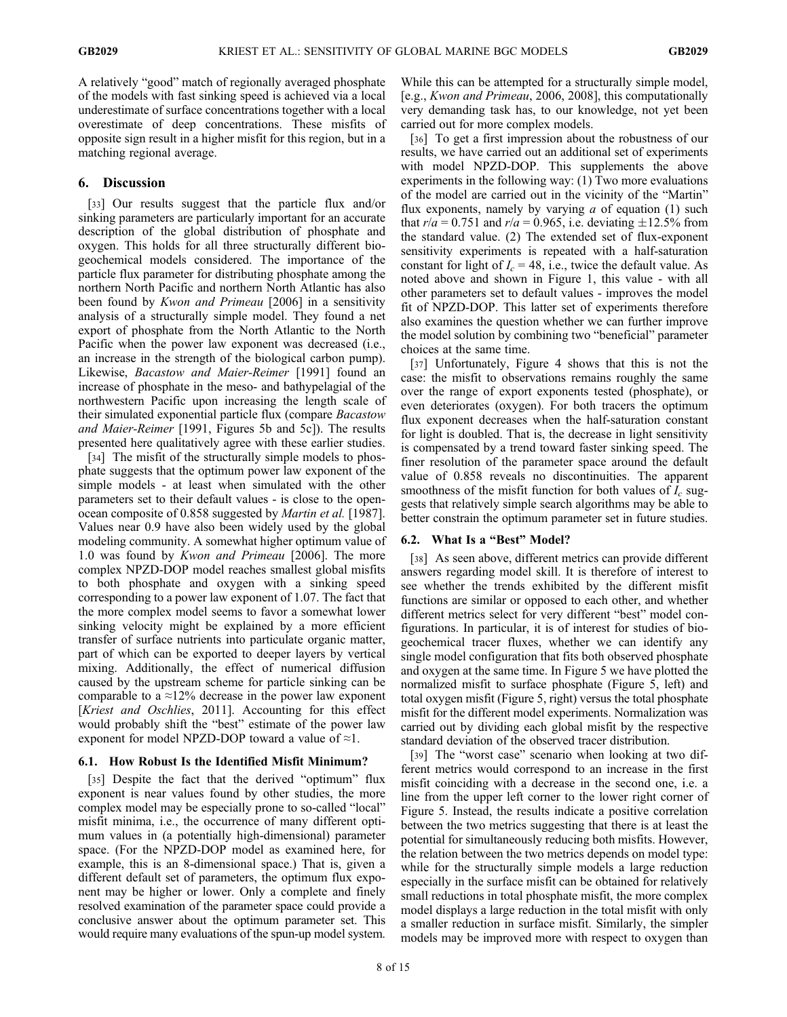A relatively "good" match of regionally averaged phosphate of the models with fast sinking speed is achieved via a local underestimate of surface concentrations together with a local overestimate of deep concentrations. These misfits of opposite sign result in a higher misfit for this region, but in a matching regional average.

# 6. Discussion

[33] Our results suggest that the particle flux and/or sinking parameters are particularly important for an accurate description of the global distribution of phosphate and oxygen. This holds for all three structurally different biogeochemical models considered. The importance of the particle flux parameter for distributing phosphate among the northern North Pacific and northern North Atlantic has also been found by *Kwon and Primeau* [2006] in a sensitivity analysis of a structurally simple model. They found a net export of phosphate from the North Atlantic to the North Pacific when the power law exponent was decreased (i.e., an increase in the strength of the biological carbon pump). Likewise, Bacastow and Maier-Reimer [1991] found an increase of phosphate in the meso- and bathypelagial of the northwestern Pacific upon increasing the length scale of their simulated exponential particle flux (compare Bacastow and Maier-Reimer [1991, Figures 5b and 5c]). The results presented here qualitatively agree with these earlier studies.

[34] The misfit of the structurally simple models to phosphate suggests that the optimum power law exponent of the simple models - at least when simulated with the other parameters set to their default values - is close to the openocean composite of 0.858 suggested by Martin et al. [1987]. Values near 0.9 have also been widely used by the global modeling community. A somewhat higher optimum value of 1.0 was found by Kwon and Primeau [2006]. The more complex NPZD-DOP model reaches smallest global misfits to both phosphate and oxygen with a sinking speed corresponding to a power law exponent of 1.07. The fact that the more complex model seems to favor a somewhat lower sinking velocity might be explained by a more efficient transfer of surface nutrients into particulate organic matter, part of which can be exported to deeper layers by vertical mixing. Additionally, the effect of numerical diffusion caused by the upstream scheme for particle sinking can be comparable to a  $\approx$ 12% decrease in the power law exponent [Kriest and Oschlies, 2011]. Accounting for this effect would probably shift the "best" estimate of the power law exponent for model NPZD-DOP toward a value of  $\approx$ 1.

# 6.1. How Robust Is the Identified Misfit Minimum?

[35] Despite the fact that the derived "optimum" flux exponent is near values found by other studies, the more complex model may be especially prone to so-called "local" misfit minima, i.e., the occurrence of many different optimum values in (a potentially high-dimensional) parameter space. (For the NPZD-DOP model as examined here, for example, this is an 8-dimensional space.) That is, given a different default set of parameters, the optimum flux exponent may be higher or lower. Only a complete and finely resolved examination of the parameter space could provide a conclusive answer about the optimum parameter set. This would require many evaluations of the spun-up model system.

While this can be attempted for a structurally simple model, [e.g., Kwon and Primeau, 2006, 2008], this computationally very demanding task has, to our knowledge, not yet been carried out for more complex models.

[36] To get a first impression about the robustness of our results, we have carried out an additional set of experiments with model NPZD-DOP. This supplements the above experiments in the following way: (1) Two more evaluations of the model are carried out in the vicinity of the "Martin" flux exponents, namely by varying  $a$  of equation (1) such that  $r/a = 0.751$  and  $r/a = 0.965$ , i.e. deviating  $\pm 12.5\%$  from the standard value. (2) The extended set of flux-exponent sensitivity experiments is repeated with a half-saturation constant for light of  $I_c = 48$ , i.e., twice the default value. As noted above and shown in Figure 1, this value - with all other parameters set to default values - improves the model fit of NPZD-DOP. This latter set of experiments therefore also examines the question whether we can further improve the model solution by combining two "beneficial" parameter choices at the same time.

[37] Unfortunately, Figure 4 shows that this is not the case: the misfit to observations remains roughly the same over the range of export exponents tested (phosphate), or even deteriorates (oxygen). For both tracers the optimum flux exponent decreases when the half-saturation constant for light is doubled. That is, the decrease in light sensitivity is compensated by a trend toward faster sinking speed. The finer resolution of the parameter space around the default value of 0.858 reveals no discontinuities. The apparent smoothness of the misfit function for both values of  $I_c$  suggests that relatively simple search algorithms may be able to better constrain the optimum parameter set in future studies.

# 6.2. What Is a "Best" Model?

[38] As seen above, different metrics can provide different answers regarding model skill. It is therefore of interest to see whether the trends exhibited by the different misfit functions are similar or opposed to each other, and whether different metrics select for very different "best" model configurations. In particular, it is of interest for studies of biogeochemical tracer fluxes, whether we can identify any single model configuration that fits both observed phosphate and oxygen at the same time. In Figure 5 we have plotted the normalized misfit to surface phosphate (Figure 5, left) and total oxygen misfit (Figure 5, right) versus the total phosphate misfit for the different model experiments. Normalization was carried out by dividing each global misfit by the respective standard deviation of the observed tracer distribution.

[39] The "worst case" scenario when looking at two different metrics would correspond to an increase in the first misfit coinciding with a decrease in the second one, i.e. a line from the upper left corner to the lower right corner of Figure 5. Instead, the results indicate a positive correlation between the two metrics suggesting that there is at least the potential for simultaneously reducing both misfits. However, the relation between the two metrics depends on model type: while for the structurally simple models a large reduction especially in the surface misfit can be obtained for relatively small reductions in total phosphate misfit, the more complex model displays a large reduction in the total misfit with only a smaller reduction in surface misfit. Similarly, the simpler models may be improved more with respect to oxygen than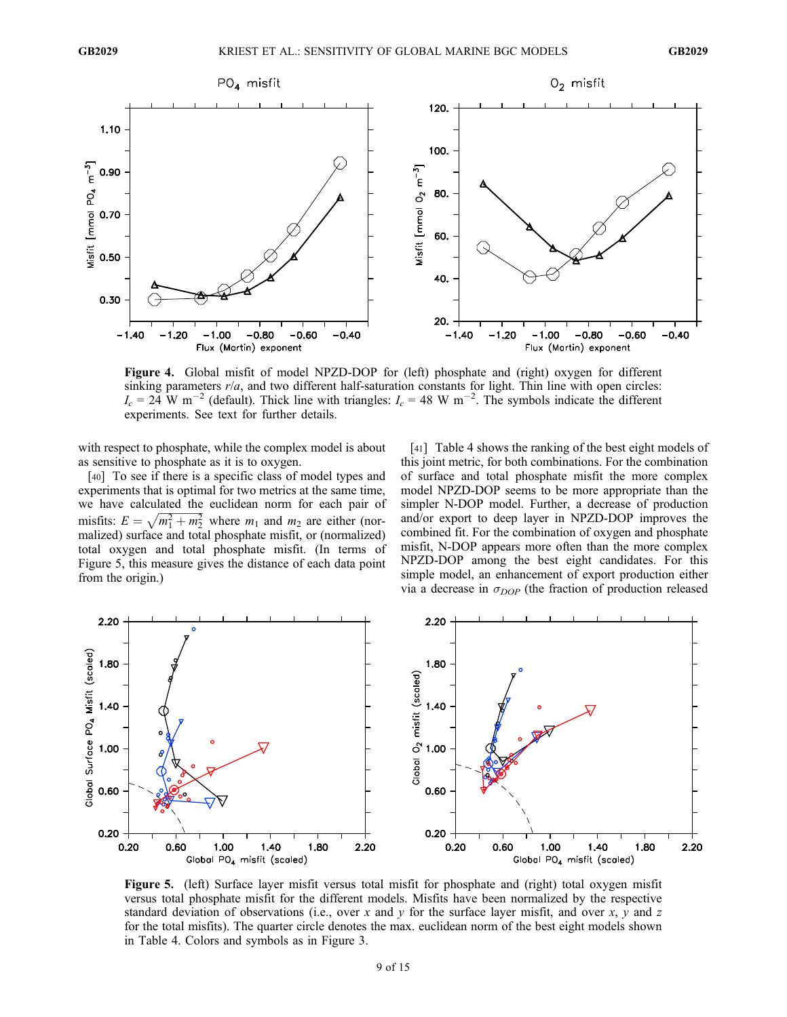

Figure 4. Global misfit of model NPZD-DOP for (left) phosphate and (right) oxygen for different sinking parameters  $r/a$ , and two different half-saturation constants for light. Thin line with open circles:  $I_c = 24$  W m<sup>-2</sup> (default). Thick line with triangles:  $I_c = 48$  W m<sup>-2</sup>. The symbols indicate the different experiments. See text for further details.

with respect to phosphate, while the complex model is about as sensitive to phosphate as it is to oxygen.

[40] To see if there is a specific class of model types and experiments that is optimal for two metrics at the same time, we have calculated the euclidean norm for each pair of misfits:  $E = \sqrt{m_1^2 + m_2^2}$  where  $m_1$  and  $m_2$  are either (normalized) surface and total phosphate misfit, or (normalized) total oxygen and total phosphate misfit. (In terms of Figure 5, this measure gives the distance of each data point from the origin.)

[41] Table 4 shows the ranking of the best eight models of this joint metric, for both combinations. For the combination of surface and total phosphate misfit the more complex model NPZD-DOP seems to be more appropriate than the simpler N-DOP model. Further, a decrease of production and/or export to deep layer in NPZD-DOP improves the combined fit. For the combination of oxygen and phosphate misfit, N-DOP appears more often than the more complex NPZD-DOP among the best eight candidates. For this simple model, an enhancement of export production either via a decrease in  $\sigma_{DOP}$  (the fraction of production released



Figure 5. (left) Surface layer misfit versus total misfit for phosphate and (right) total oxygen misfit versus total phosphate misfit for the different models. Misfits have been normalized by the respective standard deviation of observations (i.e., over x and y for the surface layer misfit, and over x, y and z for the total misfits). The quarter circle denotes the max. euclidean norm of the best eight models shown in Table 4. Colors and symbols as in Figure 3.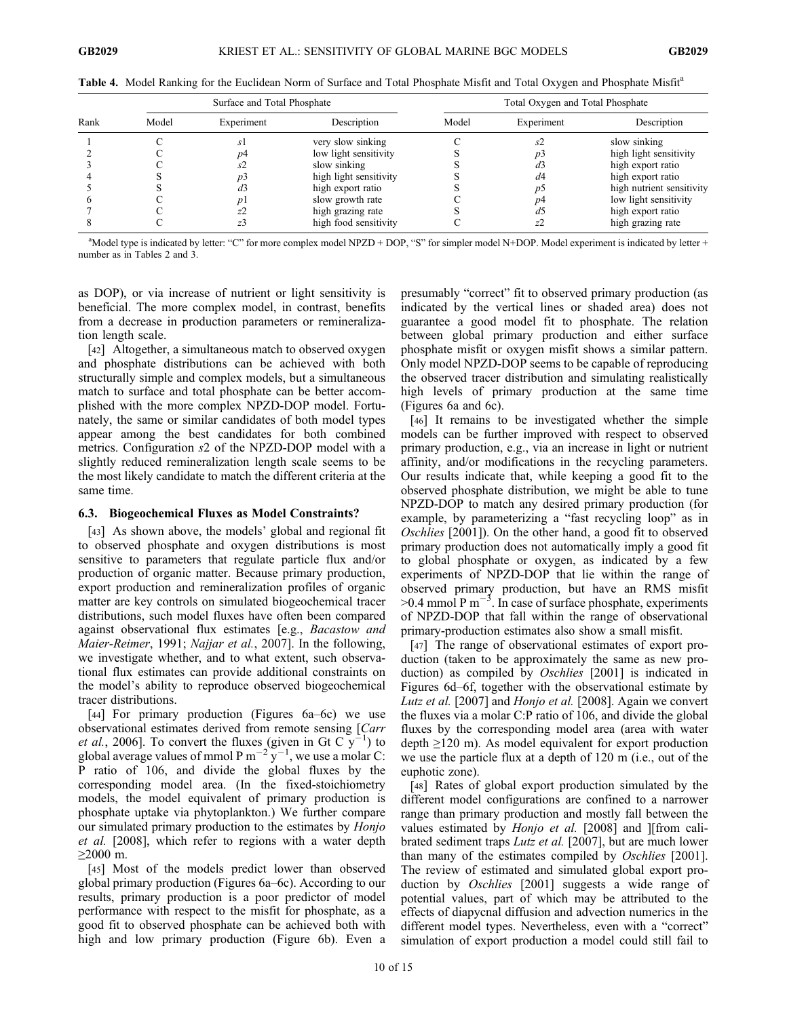|      |       | Surface and Total Phosphate |                        | Total Oxygen and Total Phosphate |                |                           |  |  |  |
|------|-------|-----------------------------|------------------------|----------------------------------|----------------|---------------------------|--|--|--|
| Rank | Model | Experiment                  | Description            | Model                            | Experiment     | Description               |  |  |  |
|      |       | s l                         | very slow sinking      |                                  | s2             | slow sinking              |  |  |  |
|      |       | n4                          | low light sensitivity  |                                  | D3             | high light sensitivity    |  |  |  |
|      |       |                             | slow sinking           |                                  | d <sub>3</sub> | high export ratio         |  |  |  |
|      |       | D3                          | high light sensitivity |                                  | d4             | high export ratio         |  |  |  |
|      |       | d <sub>3</sub>              | high export ratio      |                                  | p5             | high nutrient sensitivity |  |  |  |
|      |       |                             | slow growth rate       |                                  | р4             | low light sensitivity     |  |  |  |
|      |       |                             | high grazing rate      |                                  | d5             | high export ratio         |  |  |  |
|      |       |                             | high food sensitivity  |                                  | z2             | high grazing rate         |  |  |  |

Table 4. Model Ranking for the Euclidean Norm of Surface and Total Phosphate Misfit and Total Oxygen and Phosphate Misfit<sup>a</sup>

a Model type is indicated by letter: "C" for more complex model NPZD + DOP, "S" for simpler model N+DOP. Model experiment is indicated by letter + number as in Tables 2 and 3.

as DOP), or via increase of nutrient or light sensitivity is beneficial. The more complex model, in contrast, benefits from a decrease in production parameters or remineralization length scale.

[42] Altogether, a simultaneous match to observed oxygen and phosphate distributions can be achieved with both structurally simple and complex models, but a simultaneous match to surface and total phosphate can be better accomplished with the more complex NPZD-DOP model. Fortunately, the same or similar candidates of both model types appear among the best candidates for both combined metrics. Configuration s2 of the NPZD-DOP model with a slightly reduced remineralization length scale seems to be the most likely candidate to match the different criteria at the same time.

#### 6.3. Biogeochemical Fluxes as Model Constraints?

[43] As shown above, the models' global and regional fit to observed phosphate and oxygen distributions is most sensitive to parameters that regulate particle flux and/or production of organic matter. Because primary production, export production and remineralization profiles of organic matter are key controls on simulated biogeochemical tracer distributions, such model fluxes have often been compared against observational flux estimates [e.g., Bacastow and Maier-Reimer, 1991; Najjar et al., 2007]. In the following, we investigate whether, and to what extent, such observational flux estimates can provide additional constraints on the model's ability to reproduce observed biogeochemical tracer distributions.

[44] For primary production (Figures 6a–6c) we use observational estimates derived from remote sensing [Carr *et al.*, 2006]. To convert the fluxes (given in Gt C  $y^{-1}$ ) to global average values of mmol P m<sup>-2</sup> y<sup>-1</sup>, we use a molar C: P ratio of 106, and divide the global fluxes by the corresponding model area. (In the fixed-stoichiometry models, the model equivalent of primary production is phosphate uptake via phytoplankton.) We further compare our simulated primary production to the estimates by *Honjo* et al. [2008], which refer to regions with a water depth ≥2000 m.

[45] Most of the models predict lower than observed global primary production (Figures 6a–6c). According to our results, primary production is a poor predictor of model performance with respect to the misfit for phosphate, as a good fit to observed phosphate can be achieved both with high and low primary production (Figure 6b). Even a presumably "correct" fit to observed primary production (as indicated by the vertical lines or shaded area) does not guarantee a good model fit to phosphate. The relation between global primary production and either surface phosphate misfit or oxygen misfit shows a similar pattern. Only model NPZD-DOP seems to be capable of reproducing the observed tracer distribution and simulating realistically high levels of primary production at the same time (Figures 6a and 6c).

[46] It remains to be investigated whether the simple models can be further improved with respect to observed primary production, e.g., via an increase in light or nutrient affinity, and/or modifications in the recycling parameters. Our results indicate that, while keeping a good fit to the observed phosphate distribution, we might be able to tune NPZD-DOP to match any desired primary production (for example, by parameterizing a "fast recycling loop" as in Oschlies [2001]). On the other hand, a good fit to observed primary production does not automatically imply a good fit to global phosphate or oxygen, as indicated by a few experiments of NPZD-DOP that lie within the range of observed primary production, but have an RMS misfit  $>0.4$  mmol P m<sup>-3</sup>. In case of surface phosphate, experiments of NPZD-DOP that fall within the range of observational primary-production estimates also show a small misfit.

[47] The range of observational estimates of export production (taken to be approximately the same as new production) as compiled by Oschlies [2001] is indicated in Figures 6d–6f, together with the observational estimate by Lutz et al. [2007] and Honjo et al. [2008]. Again we convert the fluxes via a molar C:P ratio of 106, and divide the global fluxes by the corresponding model area (area with water depth  $\geq$ 120 m). As model equivalent for export production we use the particle flux at a depth of 120 m (i.e., out of the euphotic zone).

[48] Rates of global export production simulated by the different model configurations are confined to a narrower range than primary production and mostly fall between the values estimated by *Honjo et al.* [2008] and ][from calibrated sediment traps Lutz et al. [2007], but are much lower than many of the estimates compiled by Oschlies [2001]. The review of estimated and simulated global export production by *Oschlies* [2001] suggests a wide range of potential values, part of which may be attributed to the effects of diapycnal diffusion and advection numerics in the different model types. Nevertheless, even with a "correct" simulation of export production a model could still fail to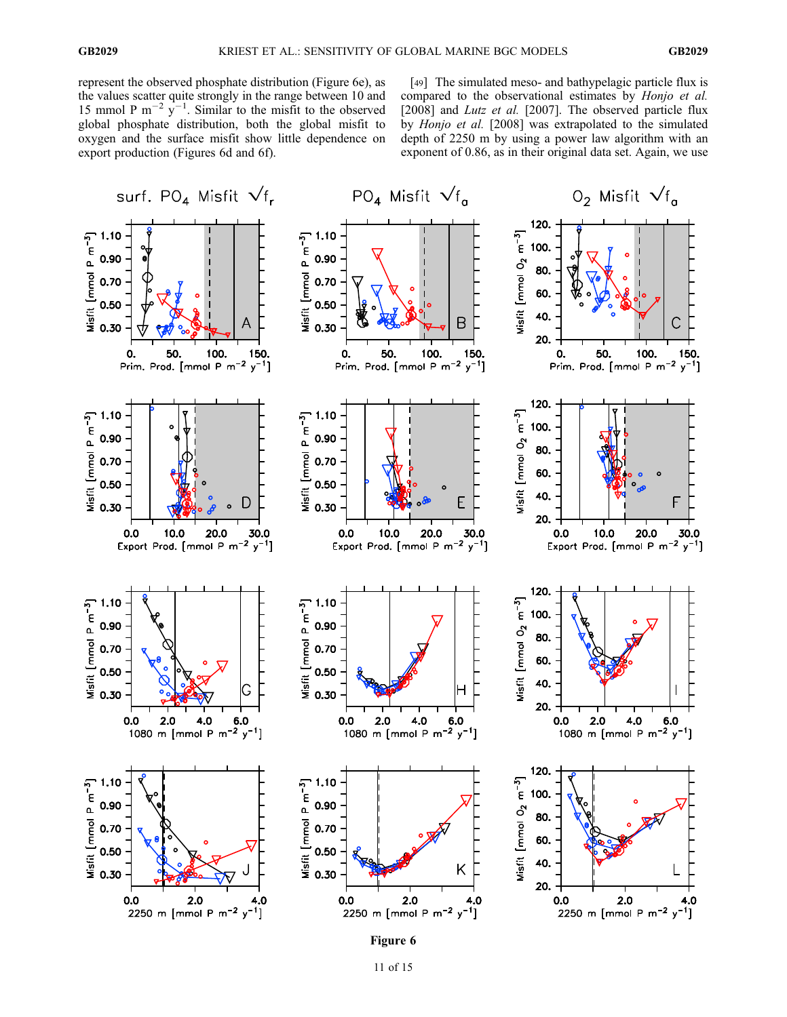represent the observed phosphate distribution (Figure 6e), as the values scatter quite strongly in the range between 10 and 15 mmol P m<sup>-2</sup> y<sup>-1</sup>. Similar to the misfit to the observed global phosphate distribution, both the global misfit to oxygen and the surface misfit show little dependence on export production (Figures 6d and 6f).

[49] The simulated meso- and bathypelagic particle flux is compared to the observational estimates by Honjo et al. [2008] and *Lutz et al.* [2007]. The observed particle flux by Honjo et al. [2008] was extrapolated to the simulated depth of 2250 m by using a power law algorithm with an exponent of 0.86, as in their original data set. Again, we use



Figure 6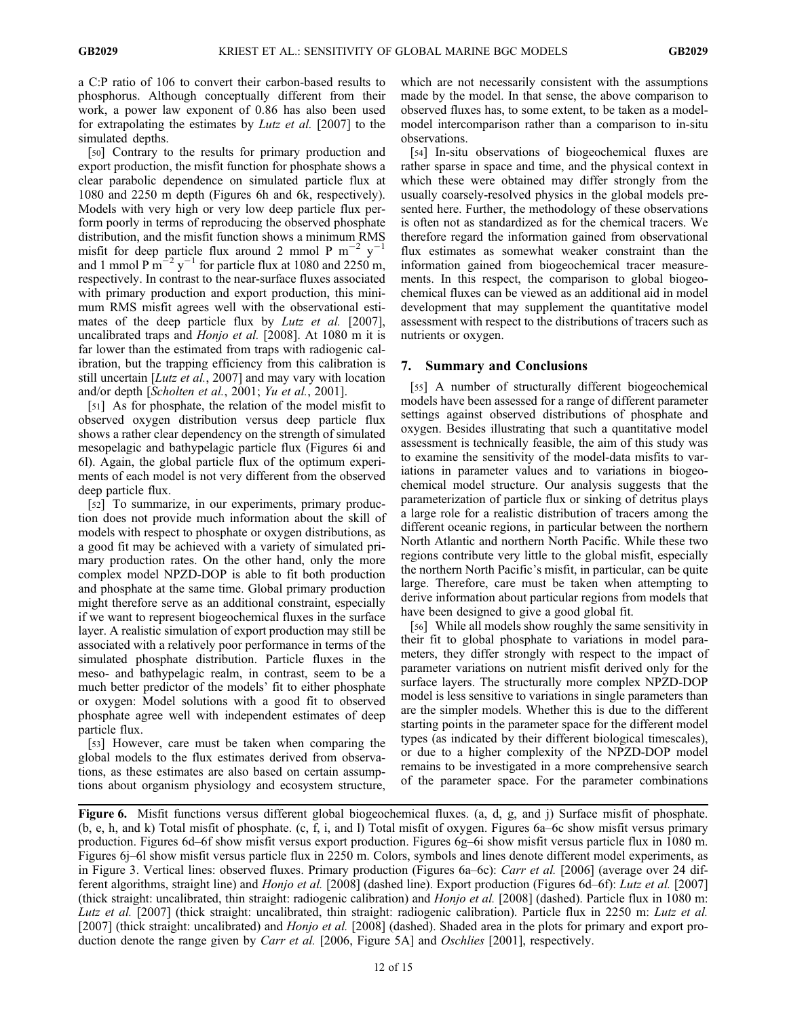a C:P ratio of 106 to convert their carbon-based results to phosphorus. Although conceptually different from their work, a power law exponent of 0.86 has also been used for extrapolating the estimates by Lutz et al. [2007] to the simulated depths.

[50] Contrary to the results for primary production and export production, the misfit function for phosphate shows a clear parabolic dependence on simulated particle flux at 1080 and 2250 m depth (Figures 6h and 6k, respectively). Models with very high or very low deep particle flux perform poorly in terms of reproducing the observed phosphate distribution, and the misfit function shows a minimum RMS misfit for deep particle flux around 2 mmol P  $m^{-2}$  y<sup>-1</sup> and 1 mmol P m<sup>-2</sup> y<sup>-1</sup> for particle flux at 1080 and 2250 m, respectively. In contrast to the near-surface fluxes associated with primary production and export production, this minimum RMS misfit agrees well with the observational estimates of the deep particle flux by *Lutz et al.* [2007], uncalibrated traps and Honjo et al. [2008]. At 1080 m it is far lower than the estimated from traps with radiogenic calibration, but the trapping efficiency from this calibration is still uncertain [*Lutz et al.*, 2007] and may vary with location and/or depth [Scholten et al., 2001; Yu et al., 2001].

[51] As for phosphate, the relation of the model misfit to observed oxygen distribution versus deep particle flux shows a rather clear dependency on the strength of simulated mesopelagic and bathypelagic particle flux (Figures 6i and 6l). Again, the global particle flux of the optimum experiments of each model is not very different from the observed deep particle flux.

[52] To summarize, in our experiments, primary production does not provide much information about the skill of models with respect to phosphate or oxygen distributions, as a good fit may be achieved with a variety of simulated primary production rates. On the other hand, only the more complex model NPZD-DOP is able to fit both production and phosphate at the same time. Global primary production might therefore serve as an additional constraint, especially if we want to represent biogeochemical fluxes in the surface layer. A realistic simulation of export production may still be associated with a relatively poor performance in terms of the simulated phosphate distribution. Particle fluxes in the meso- and bathypelagic realm, in contrast, seem to be a much better predictor of the models' fit to either phosphate or oxygen: Model solutions with a good fit to observed phosphate agree well with independent estimates of deep particle flux.

[53] However, care must be taken when comparing the global models to the flux estimates derived from observations, as these estimates are also based on certain assumptions about organism physiology and ecosystem structure, which are not necessarily consistent with the assumptions made by the model. In that sense, the above comparison to observed fluxes has, to some extent, to be taken as a modelmodel intercomparison rather than a comparison to in-situ observations.

[54] In-situ observations of biogeochemical fluxes are rather sparse in space and time, and the physical context in which these were obtained may differ strongly from the usually coarsely-resolved physics in the global models presented here. Further, the methodology of these observations is often not as standardized as for the chemical tracers. We therefore regard the information gained from observational flux estimates as somewhat weaker constraint than the information gained from biogeochemical tracer measurements. In this respect, the comparison to global biogeochemical fluxes can be viewed as an additional aid in model development that may supplement the quantitative model assessment with respect to the distributions of tracers such as nutrients or oxygen.

## 7. Summary and Conclusions

[55] A number of structurally different biogeochemical models have been assessed for a range of different parameter settings against observed distributions of phosphate and oxygen. Besides illustrating that such a quantitative model assessment is technically feasible, the aim of this study was to examine the sensitivity of the model-data misfits to variations in parameter values and to variations in biogeochemical model structure. Our analysis suggests that the parameterization of particle flux or sinking of detritus plays a large role for a realistic distribution of tracers among the different oceanic regions, in particular between the northern North Atlantic and northern North Pacific. While these two regions contribute very little to the global misfit, especially the northern North Pacific's misfit, in particular, can be quite large. Therefore, care must be taken when attempting to derive information about particular regions from models that have been designed to give a good global fit.

[56] While all models show roughly the same sensitivity in their fit to global phosphate to variations in model parameters, they differ strongly with respect to the impact of parameter variations on nutrient misfit derived only for the surface layers. The structurally more complex NPZD-DOP model is less sensitive to variations in single parameters than are the simpler models. Whether this is due to the different starting points in the parameter space for the different model types (as indicated by their different biological timescales), or due to a higher complexity of the NPZD-DOP model remains to be investigated in a more comprehensive search of the parameter space. For the parameter combinations

Figure 6. Misfit functions versus different global biogeochemical fluxes. (a, d, g, and j) Surface misfit of phosphate. (b, e, h, and k) Total misfit of phosphate. (c, f, i, and l) Total misfit of oxygen. Figures 6a–6c show misfit versus primary production. Figures 6d–6f show misfit versus export production. Figures 6g–6i show misfit versus particle flux in 1080 m. Figures 6j–6l show misfit versus particle flux in 2250 m. Colors, symbols and lines denote different model experiments, as in Figure 3. Vertical lines: observed fluxes. Primary production (Figures 6a–6c): Carr et al. [2006] (average over 24 different algorithms, straight line) and Honjo et al. [2008] (dashed line). Export production (Figures 6d–6f): Lutz et al. [2007] (thick straight: uncalibrated, thin straight: radiogenic calibration) and Honjo et al. [2008] (dashed). Particle flux in 1080 m: Lutz et al. [2007] (thick straight: uncalibrated, thin straight: radiogenic calibration). Particle flux in 2250 m: Lutz et al. [2007] (thick straight: uncalibrated) and *Honjo et al.* [2008] (dashed). Shaded area in the plots for primary and export production denote the range given by *Carr et al.* [2006, Figure 5A] and *Oschlies* [2001], respectively.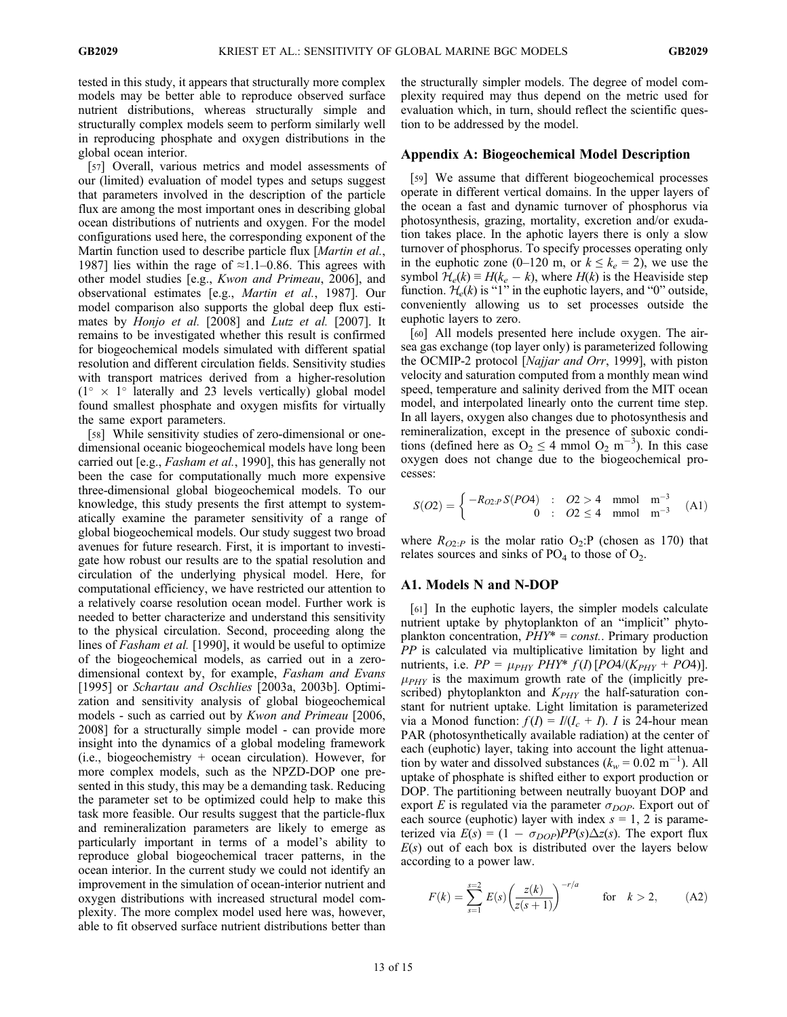tested in this study, it appears that structurally more complex models may be better able to reproduce observed surface nutrient distributions, whereas structurally simple and structurally complex models seem to perform similarly well in reproducing phosphate and oxygen distributions in the global ocean interior.

[57] Overall, various metrics and model assessments of our (limited) evaluation of model types and setups suggest that parameters involved in the description of the particle flux are among the most important ones in describing global ocean distributions of nutrients and oxygen. For the model configurations used here, the corresponding exponent of the Martin function used to describe particle flux [*Martin et al.*, 1987] lies within the rage of  $\approx$ 1.1–0.86. This agrees with other model studies [e.g., Kwon and Primeau, 2006], and observational estimates [e.g., Martin et al., 1987]. Our model comparison also supports the global deep flux estimates by Honjo et al. [2008] and Lutz et al. [2007]. It remains to be investigated whether this result is confirmed for biogeochemical models simulated with different spatial resolution and different circulation fields. Sensitivity studies with transport matrices derived from a higher-resolution  $(1^{\circ} \times 1^{\circ}$  laterally and 23 levels vertically) global model found smallest phosphate and oxygen misfits for virtually the same export parameters.

[58] While sensitivity studies of zero-dimensional or onedimensional oceanic biogeochemical models have long been carried out [e.g., *Fasham et al.*, 1990], this has generally not been the case for computationally much more expensive three-dimensional global biogeochemical models. To our knowledge, this study presents the first attempt to systematically examine the parameter sensitivity of a range of global biogeochemical models. Our study suggest two broad avenues for future research. First, it is important to investigate how robust our results are to the spatial resolution and circulation of the underlying physical model. Here, for computational efficiency, we have restricted our attention to a relatively coarse resolution ocean model. Further work is needed to better characterize and understand this sensitivity to the physical circulation. Second, proceeding along the lines of Fasham et al. [1990], it would be useful to optimize of the biogeochemical models, as carried out in a zerodimensional context by, for example, Fasham and Evans [1995] or Schartau and Oschlies [2003a, 2003b]. Optimization and sensitivity analysis of global biogeochemical models - such as carried out by Kwon and Primeau [2006, 2008] for a structurally simple model - can provide more insight into the dynamics of a global modeling framework  $(i.e., biogeochemistry + ocean circulation)$ . However, for more complex models, such as the NPZD-DOP one presented in this study, this may be a demanding task. Reducing the parameter set to be optimized could help to make this task more feasible. Our results suggest that the particle-flux and remineralization parameters are likely to emerge as particularly important in terms of a model's ability to reproduce global biogeochemical tracer patterns, in the ocean interior. In the current study we could not identify an improvement in the simulation of ocean-interior nutrient and oxygen distributions with increased structural model complexity. The more complex model used here was, however, able to fit observed surface nutrient distributions better than

the structurally simpler models. The degree of model complexity required may thus depend on the metric used for evaluation which, in turn, should reflect the scientific question to be addressed by the model.

## Appendix A: Biogeochemical Model Description

[59] We assume that different biogeochemical processes operate in different vertical domains. In the upper layers of the ocean a fast and dynamic turnover of phosphorus via photosynthesis, grazing, mortality, excretion and/or exudation takes place. In the aphotic layers there is only a slow turnover of phosphorus. To specify processes operating only in the euphotic zone (0–120 m, or  $k \leq k_e = 2$ ), we use the symbol  $\mathcal{H}_e(k) \equiv H(k_e - k)$ , where  $H(k)$  is the Heaviside step function.  $\mathcal{H}_e(k)$  is "1" in the euphotic layers, and "0" outside, conveniently allowing us to set processes outside the euphotic layers to zero.

[60] All models presented here include oxygen. The airsea gas exchange (top layer only) is parameterized following the OCMIP-2 protocol [Najjar and Orr, 1999], with piston velocity and saturation computed from a monthly mean wind speed, temperature and salinity derived from the MIT ocean model, and interpolated linearly onto the current time step. In all layers, oxygen also changes due to photosynthesis and remineralization, except in the presence of suboxic conditions (defined here as  $O_2 \le 4$  mmol  $O_2$  m<sup>-3</sup>). In this case oxygen does not change due to the biogeochemical processes:

$$
S(O2) = \begin{cases} -R_{O2:P}S(PO4) & : O2 > 4 \quad \text{mmol} \quad \text{m}^{-3} \\ 0 & : O2 \le 4 \quad \text{mmol} \quad \text{m}^{-3} \end{cases} (A1)
$$

where  $R_{O2:P}$  is the molar ratio  $O_2$ : P (chosen as 170) that relates sources and sinks of  $PO_4$  to those of  $O_2$ .

### A1. Models N and N-DOP

[61] In the euphotic layers, the simpler models calculate nutrient uptake by phytoplankton of an "implicit" phytoplankton concentration,  $PHY^* = const.$  Primary production PP is calculated via multiplicative limitation by light and nutrients, i.e.  $PP = \mu_{PHY} PHY^* f(I) [PO4/(K_{PHY} + PO4)].$  $\mu_{PHY}$  is the maximum growth rate of the (implicitly prescribed) phytoplankton and  $K_{PHY}$  the half-saturation constant for nutrient uptake. Light limitation is parameterized via a Monod function:  $f(I) = I/(I_c + I)$ . I is 24-hour mean PAR (photosynthetically available radiation) at the center of each (euphotic) layer, taking into account the light attenuation by water and dissolved substances ( $k_w = 0.02$  m<sup>-1</sup>). All uptake of phosphate is shifted either to export production or DOP. The partitioning between neutrally buoyant DOP and export E is regulated via the parameter  $\sigma_{DOP}$ . Export out of each source (euphotic) layer with index  $s = 1, 2$  is parameterized via  $E(s) = (1 - \sigma_{DOP})PP(s)\Delta z(s)$ . The export flux  $E(s)$  out of each box is distributed over the layers below according to a power law.

$$
F(k) = \sum_{s=1}^{s=2} E(s) \left( \frac{z(k)}{z(s+1)} \right)^{-r/a} \quad \text{for} \quad k > 2, \quad (A2)
$$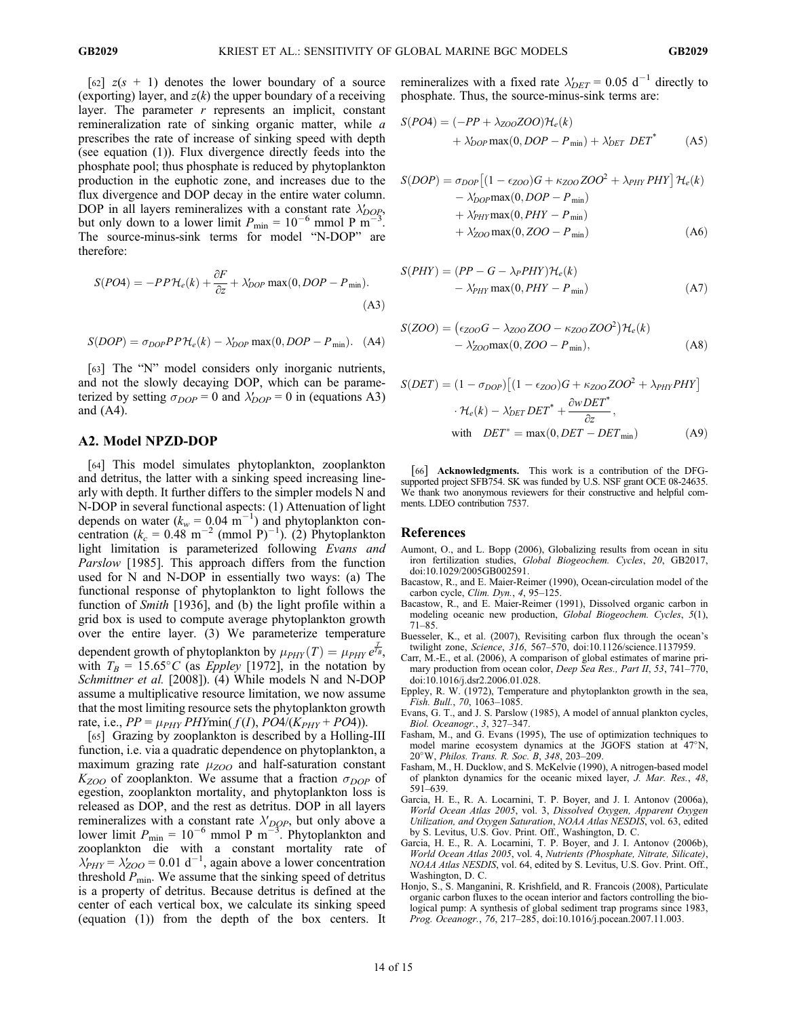[62]  $z(s + 1)$  denotes the lower boundary of a source (exporting) layer, and  $z(k)$  the upper boundary of a receiving layer. The parameter  $r$  represents an implicit, constant remineralization rate of sinking organic matter, while a prescribes the rate of increase of sinking speed with depth (see equation (1)). Flux divergence directly feeds into the phosphate pool; thus phosphate is reduced by phytoplankton production in the euphotic zone, and increases due to the flux divergence and DOP decay in the entire water column. DOP in all layers remineralizes with a constant rate  $\lambda'_{DOP}$ , but only down to a lower limit  $P_{\text{min}} = 10^{-6}$  mmol P m<sup>-3</sup>. The source-minus-sink terms for model "N-DOP" are therefore:

$$
S(PO4) = -PP\mathcal{H}_e(k) + \frac{\partial F}{\partial z} + \lambda'_{DOP} \max(0, DOP - P_{\min}).
$$
\n(A3)

$$
S(DOP) = \sigma_{DOP} PP\mathcal{H}_e(k) - \lambda'_{DOP} \max(0, DOP - P_{\min}).
$$
 (A4)

[63] The "N" model considers only inorganic nutrients, and not the slowly decaying DOP, which can be parameterized by setting  $\sigma_{DOP} = 0$  and  $\lambda'_{DOP} = 0$  in (equations A3) and (A4).

### A2. Model NPZD-DOP

[64] This model simulates phytoplankton, zooplankton and detritus, the latter with a sinking speed increasing linearly with depth. It further differs to the simpler models N and N-DOP in several functional aspects: (1) Attenuation of light depends on water  $(k_w = 0.04 \text{ m}^{-1})$  and phytoplankton concentration ( $k_c = 0.48 \text{ m}^{-2}$  (mmol  $\text{P}$ )<sup>-1</sup>). (2) Phytoplankton light limitation is parameterized following Evans and Parslow [1985]. This approach differs from the function used for N and N-DOP in essentially two ways: (a) The functional response of phytoplankton to light follows the function of *Smith* [1936], and (b) the light profile within a grid box is used to compute average phytoplankton growth over the entire layer. (3) We parameterize temperature dependent growth of phytoplankton by  $\mu_{PHY}(T) = \mu_{PHY} e^{\frac{T}{T_B}}$ , with  $T_B = 15.65^{\circ}C$  (as *Eppley* [1972], in the notation by Schmittner et al. [2008]). (4) While models N and N-DOP assume a multiplicative resource limitation, we now assume that the most limiting resource sets the phytoplankton growth rate, i.e.,  $PP = \mu_{PHY} PHYmin(f(I), PO4/(K_{PHY} + PO4)).$ 

[65] Grazing by zooplankton is described by a Holling-III function, i.e. via a quadratic dependence on phytoplankton, a maximum grazing rate  $\mu_{ZOO}$  and half-saturation constant  $K_{ZOO}$  of zooplankton. We assume that a fraction  $\sigma_{DOP}$  of egestion, zooplankton mortality, and phytoplankton loss is released as DOP, and the rest as detritus. DOP in all layers remineralizes with a constant rate  $\lambda'_{DQP}$ , but only above a lower limit  $P_{\text{min}} = 10^{-6}$  mmol P m<sup>-3</sup>. Phytoplankton and zooplankton die with a constant mortality rate of  $\lambda'_{PHY} = \lambda'_{ZOO} = 0.01 \text{ d}^{-1}$ , again above a lower concentration threshold  $P_{\text{min}}$ . We assume that the sinking speed of detritus is a property of detritus. Because detritus is defined at the center of each vertical box, we calculate its sinking speed (equation (1)) from the depth of the box centers. It

remineralizes with a fixed rate  $\lambda'_{DET} = 0.05 \text{ d}^{-1}$  directly to phosphate. Thus, the source-minus-sink terms are:

$$
S(PO4) = (-PP + \lambda_{ZOO} ZOO) \mathcal{H}_e(k)
$$
  
+ \lambda'\_{DOP} max(0, DOP - P\_{min}) + \lambda'\_{DET} DET^\* (AS)

$$
S(DOP) = \sigma_{DOP} \left[ (1 - \epsilon_{ZOO})G + \kappa_{ZOO} ZOO^2 + \lambda_{PHY} PHY \right] \mathcal{H}_e(k)
$$
  
- \lambda'\_{DOP} max(0, DOP - P\_{min})  
+ \lambda'\_{PHY} max(0, PHY - P\_{min})  
+ \lambda'\_{ZOO} max(0, ZOO - P\_{min}) \qquad (A6)

$$
S(PHY) = (PP - G - \lambda_P PHY) \mathcal{H}_e(k)
$$
  
- \lambda'\_{PHY} max(0, PHY - P\_{min}) (A7)

$$
S(ZOO) = (\epsilon_{ZOO}G - \lambda_{ZOO}ZOO - \kappa_{ZOO}ZOO^2) \mathcal{H}_e(k)
$$
  
-  $\lambda'_{ZOO} \text{max}(0, ZOO - P_{\text{min}}),$  (A8)

$$
S(DET) = (1 - \sigma_{DOP})[(1 - \epsilon_{ZOO})G + \kappa_{ZOO}ZOO^2 + \lambda_{PHY}PHY]
$$
  
 
$$
\cdot \mathcal{H}_e(k) - \lambda_{DET}'DET^* + \frac{\partial wDET^*}{\partial z},
$$
  
with 
$$
DET^* = \max(0, DET - DET_{min})
$$
 (A9)

[66] **Acknowledgments.** This work is a contribution of the DFGsupported project SFB754. SK was funded by U.S. NSF grant OCE 08-24635. We thank two anonymous reviewers for their constructive and helpful comments. LDEO contribution 7537.

#### References

- Aumont, O., and L. Bopp (2006), Globalizing results from ocean in situ iron fertilization studies, Global Biogeochem. Cycles, 20, GB2017, doi:10.1029/2005GB002591.
- Bacastow, R., and E. Maier-Reimer (1990), Ocean-circulation model of the carbon cycle, Clim. Dyn., 4, 95–125.
- Bacastow, R., and E. Maier-Reimer (1991), Dissolved organic carbon in modeling oceanic new production, Global Biogeochem. Cycles, 5(1), 71–85.
- Buesseler, K., et al. (2007), Revisiting carbon flux through the ocean's twilight zone, Science, 316, 567–570, doi:10.1126/science.1137959.
- Carr, M.-E., et al. (2006), A comparison of global estimates of marine primary production from ocean color, Deep Sea Res., Part II, 53, 741–770, doi:10.1016/j.dsr2.2006.01.028.
- Eppley, R. W. (1972), Temperature and phytoplankton growth in the sea,  $Fish.$  Bull., 70, 1063–1085.
- Evans, G. T., and J. S. Parslow (1985), A model of annual plankton cycles, Biol. Oceanogr., 3, 327–347.
- Fasham, M., and G. Evans (1995), The use of optimization techniques to model marine ecosystem dynamics at the JGOFS station at 47°N, 20W, Philos. Trans. R. Soc. B, 348, 203–209.
- Fasham, M., H. Ducklow, and S. McKelvie (1990), A nitrogen-based model of plankton dynamics for the oceanic mixed layer, J. Mar. Res., 48, 591–639.
- Garcia, H. E., R. A. Locarnini, T. P. Boyer, and J. I. Antonov (2006a), World Ocean Atlas 2005, vol. 3, Dissolved Oxygen, Apparent Oxygen Utilization, and Oxygen Saturation, NOAA Atlas NESDIS, vol. 63, edited by S. Levitus, U.S. Gov. Print. Off., Washington, D. C.
- Garcia, H. E., R. A. Locarnini, T. P. Boyer, and J. I. Antonov (2006b), World Ocean Atlas 2005, vol. 4, Nutrients (Phosphate, Nitrate, Silicate), NOAA Atlas NESDIS, vol. 64, edited by S. Levitus, U.S. Gov. Print. Off., Washington, D. C.
- Honjo, S., S. Manganini, R. Krishfield, and R. Francois (2008), Particulate organic carbon fluxes to the ocean interior and factors controlling the biological pump: A synthesis of global sediment trap programs since 1983, Prog. Oceanogr., 76, 217–285, doi:10.1016/j.pocean.2007.11.003.